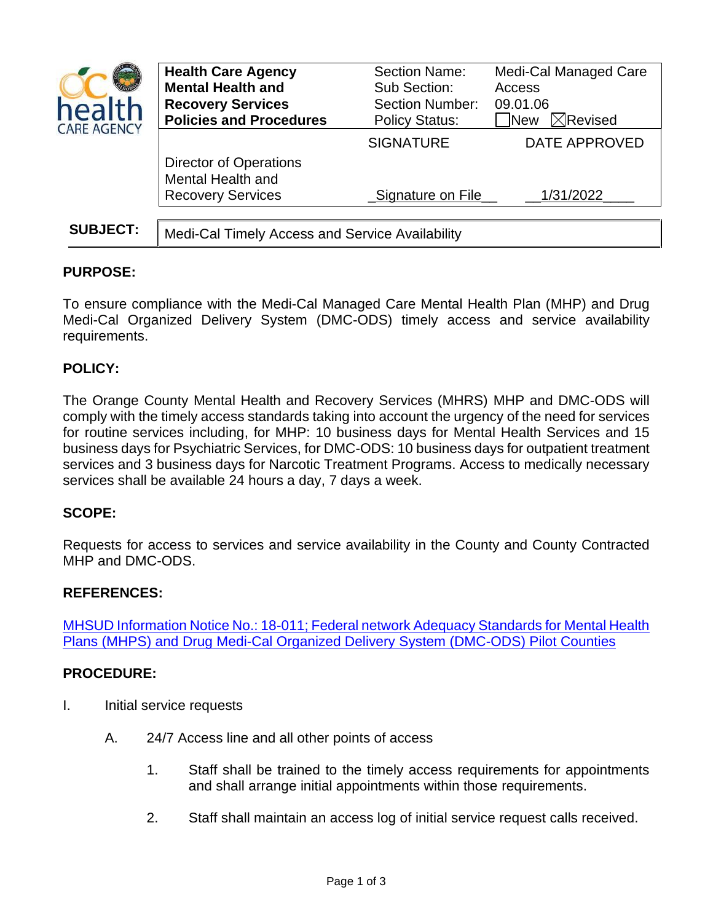| health<br><b>CARE AGENCY</b> | <b>Health Care Agency</b><br><b>Mental Health and</b><br><b>Recovery Services</b><br><b>Policies and Procedures</b> | <b>Section Name:</b><br>Sub Section:<br><b>Section Number:</b><br><b>Policy Status:</b> | Medi-Cal Managed Care<br>Access<br>09.01.06<br>$\boxtimes$ Revised<br><b>New</b> |
|------------------------------|---------------------------------------------------------------------------------------------------------------------|-----------------------------------------------------------------------------------------|----------------------------------------------------------------------------------|
|                              |                                                                                                                     | <b>SIGNATURE</b>                                                                        | <b>DATE APPROVED</b>                                                             |
|                              | <b>Director of Operations</b><br>Mental Health and<br><b>Recovery Services</b>                                      | Signature on File                                                                       | 1/31/2022                                                                        |
|                              |                                                                                                                     |                                                                                         |                                                                                  |
| <b>SUBJECT:</b>              | Medi-Cal Timely Access and Service Availability                                                                     |                                                                                         |                                                                                  |

# **PURPOSE:**

To ensure compliance with the Medi-Cal Managed Care Mental Health Plan (MHP) and Drug Medi-Cal Organized Delivery System (DMC-ODS) timely access and service availability requirements.

# **POLICY:**

The Orange County Mental Health and Recovery Services (MHRS) MHP and DMC-ODS will comply with the timely access standards taking into account the urgency of the need for services for routine services including, for MHP: 10 business days for Mental Health Services and 15 business days for Psychiatric Services, for DMC-ODS: 10 business days for outpatient treatment services and 3 business days for Narcotic Treatment Programs. Access to medically necessary services shall be available 24 hours a day, 7 days a week.

# **SCOPE:**

Requests for access to services and service availability in the County and County Contracted MHP and DMC-ODS.

## **REFERENCES:**

[MHSUD Information Notice No.: 18-011; Federal network Adequacy Standards for Mental Health](http://www.dhcs.ca.gov/services/MH/Documents/Information%20Notices/IN%2018-%20Network%20Adequacy/MHSUDS_IN_18-011_Network_Adequacy.pdf)  Plans (MHPS) and [Drug Medi-Cal Organized Delivery System \(DMC-ODS\) Pilot Counties](http://www.dhcs.ca.gov/services/MH/Documents/Information%20Notices/IN%2018-%20Network%20Adequacy/MHSUDS_IN_18-011_Network_Adequacy.pdf) 

## **PROCEDURE:**

- I. Initial service requests
	- A. 24/7 Access line and all other points of access
		- 1. Staff shall be trained to the timely access requirements for appointments and shall arrange initial appointments within those requirements.
		- 2. Staff shall maintain an access log of initial service request calls received.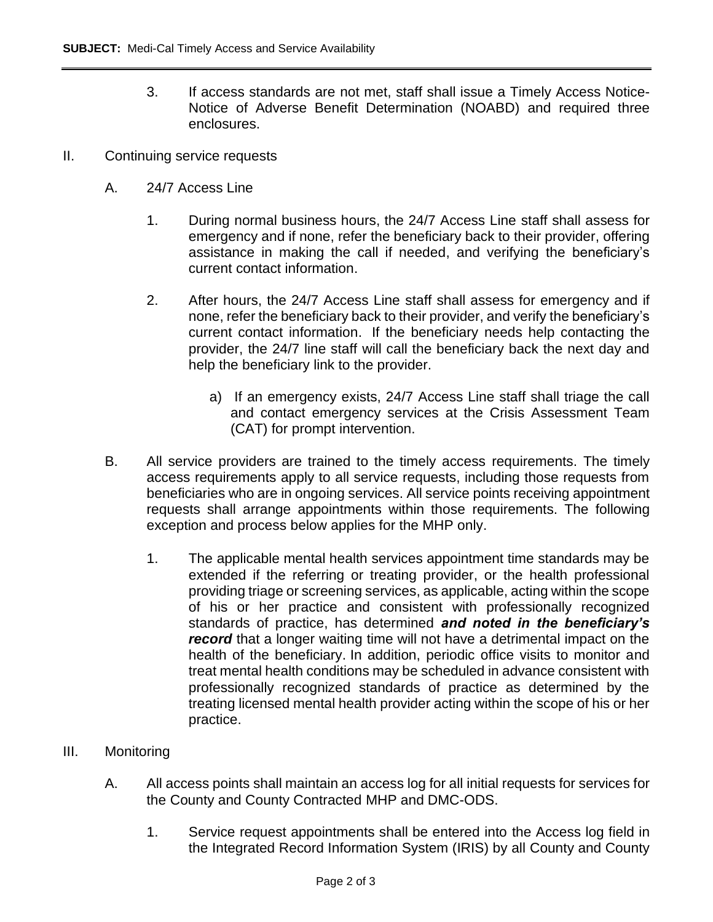- 3. If access standards are not met, staff shall issue a Timely Access Notice-Notice of Adverse Benefit Determination (NOABD) and required three enclosures.
- II. Continuing service requests
	- A. 24/7 Access Line
		- 1. During normal business hours, the 24/7 Access Line staff shall assess for emergency and if none, refer the beneficiary back to their provider, offering assistance in making the call if needed, and verifying the beneficiary's current contact information.
		- 2. After hours, the 24/7 Access Line staff shall assess for emergency and if none, refer the beneficiary back to their provider, and verify the beneficiary's current contact information. If the beneficiary needs help contacting the provider, the 24/7 line staff will call the beneficiary back the next day and help the beneficiary link to the provider.
			- a) If an emergency exists, 24/7 Access Line staff shall triage the call and contact emergency services at the Crisis Assessment Team (CAT) for prompt intervention.
	- B. All service providers are trained to the timely access requirements. The timely access requirements apply to all service requests, including those requests from beneficiaries who are in ongoing services. All service points receiving appointment requests shall arrange appointments within those requirements. The following exception and process below applies for the MHP only.
		- 1. The applicable mental health services appointment time standards may be extended if the referring or treating provider, or the health professional providing triage or screening services, as applicable, acting within the scope of his or her practice and consistent with professionally recognized standards of practice, has determined *and noted in the beneficiary's record* that a longer waiting time will not have a detrimental impact on the health of the beneficiary. In addition, periodic office visits to monitor and treat mental health conditions may be scheduled in advance consistent with professionally recognized standards of practice as determined by the treating licensed mental health provider acting within the scope of his or her practice.
- III. Monitoring
	- A. All access points shall maintain an access log for all initial requests for services for the County and County Contracted MHP and DMC-ODS.
		- 1. Service request appointments shall be entered into the Access log field in the Integrated Record Information System (IRIS) by all County and County